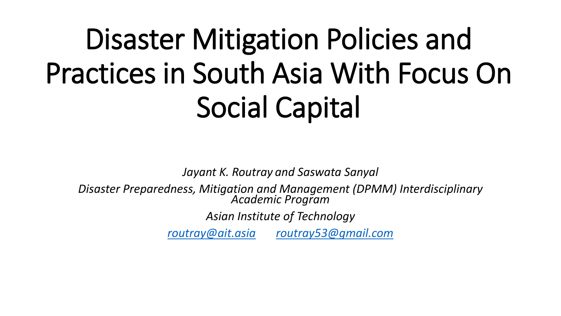# Disaster Mitigation Policies and Practices in South Asia With Focus On Social Capital

*Jayant K. Routray and Saswata Sanyal*

*Disaster Preparedness, Mitigation and Management (DPMM) Interdisciplinary Academic Program*

*Asian Institute of Technology*

*[routray@ait.asia](mailto:routray@ait.asia) [routray53@gmail.com](mailto:routray53@gmail.com)*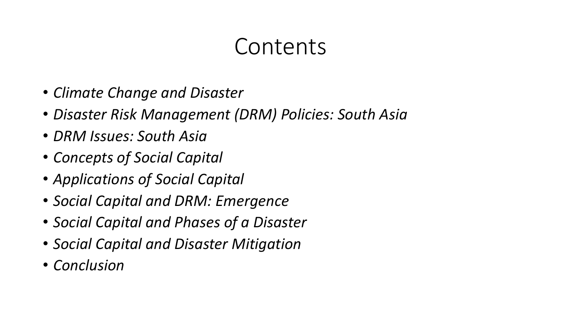### Contents

- *Climate Change and Disaster*
- *Disaster Risk Management (DRM) Policies: South Asia*
- *DRM Issues: South Asia*
- *Concepts of Social Capital*
- *Applications of Social Capital*
- *Social Capital and DRM: Emergence*
- *Social Capital and Phases of a Disaster*
- *Social Capital and Disaster Mitigation*
- *Conclusion*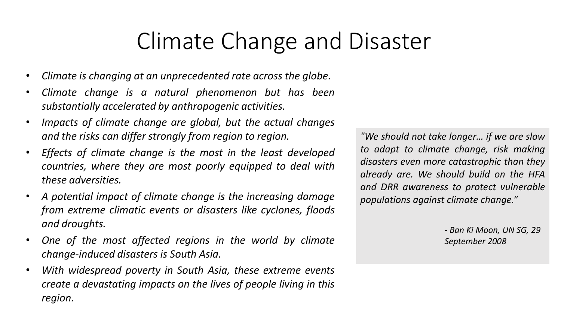### Climate Change and Disaster

- *Climate is changing at an unprecedented rate across the globe.*
- *Climate change is a natural phenomenon but has been substantially accelerated by anthropogenic activities.*
- *Impacts of climate change are global, but the actual changes and the risks can differ strongly from region to region.*
- *Effects of climate change is the most in the least developed countries, where they are most poorly equipped to deal with these adversities.*
- *A potential impact of climate change is the increasing damage from extreme climatic events or disasters like cyclones, floods and droughts.*
- *One of the most affected regions in the world by climate change-induced disasters is South Asia.*
- *With widespread poverty in South Asia, these extreme events create a devastating impacts on the lives of people living in this region.*

*"We should not take longer… if we are slow to adapt to climate change, risk making disasters even more catastrophic than they already are. We should build on the HFA and DRR awareness to protect vulnerable populations against climate change."*

> *- Ban Ki Moon, UN SG, 29 September 2008*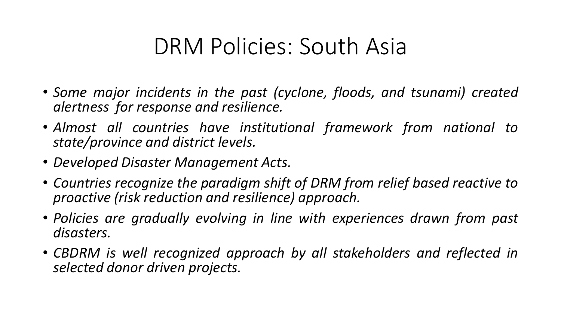### DRM Policies: South Asia

- *Some major incidents in the past (cyclone, floods, and tsunami) created alertness for response and resilience.*
- *Almost all countries have institutional framework from national to state/province and district levels.*
- *Developed Disaster Management Acts.*
- *Countries recognize the paradigm shift of DRM from relief based reactive to proactive (risk reduction and resilience) approach.*
- *Policies are gradually evolving in line with experiences drawn from past disasters.*
- *CBDRM is well recognized approach by all stakeholders and reflected in selected donor driven projects.*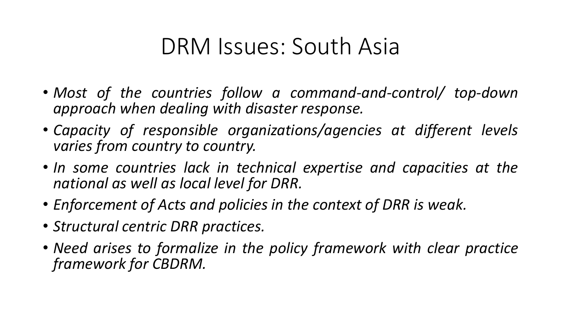### DRM Issues: South Asia

- *Most of the countries follow a command-and-control/ top-down approach when dealing with disaster response.*
- *Capacity of responsible organizations/agencies at different levels varies from country to country.*
- *In some countries lack in technical expertise and capacities at the national as well as local level for DRR.*
- *Enforcement of Acts and policies in the context of DRR is weak.*
- *Structural centric DRR practices.*
- *Need arises to formalize in the policy framework with clear practice framework for CBDRM.*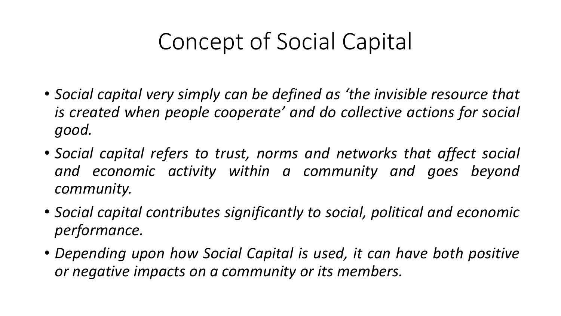# Concept of Social Capital

- *Social capital very simply can be defined as 'the invisible resource that is created when people cooperate' and do collective actions for social good.*
- *Social capital refers to trust, norms and networks that affect social and economic activity within a community and goes beyond community.*
- *Social capital contributes significantly to social, political and economic performance.*
- *Depending upon how Social Capital is used, it can have both positive or negative impacts on a community or its members.*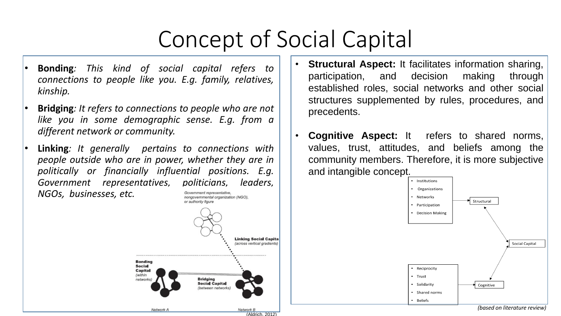# Concept of Social Capital

- **Bonding***: This kind of social capital refers to connections to people like you. E.g. family, relatives, kinship.*
- **Bridging***: It refers to connections to people who are not like you in some demographic sense. E.g. from a different network or community.*
- **Linking***: It generally pertains to connections with people outside who are in power, whether they are in politically or financially influential positions. E.g. Government representatives, politicians, leaders, NGOs, businesses, etc.* Government representative.



(Aldrich, 2012)

- **Structural Aspect:** It facilitates information sharing, participation, and decision making through established roles, social networks and other social structures supplemented by rules, procedures, and precedents.
- **Cognitive Aspect:** It refers to shared norms, values, trust, attitudes, and beliefs among the community members. Therefore, it is more subjective and intangible concept.

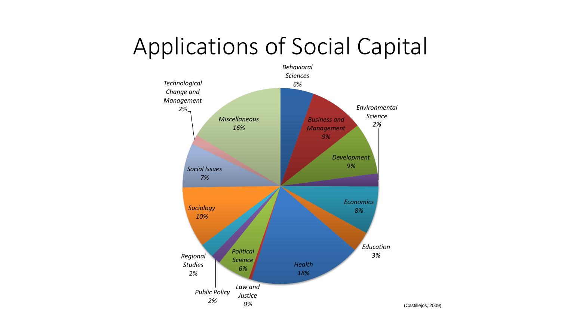### Applications of Social Capital

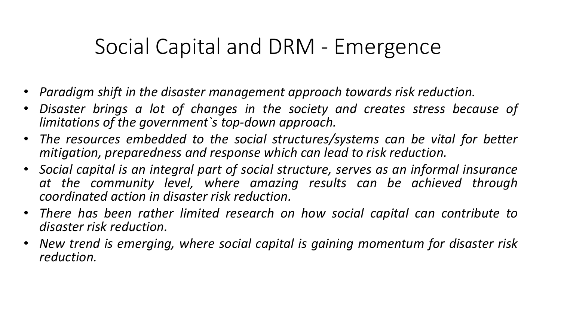#### Social Capital and DRM - Emergence

- *Paradigm shift in the disaster management approach towards risk reduction.*
- *Disaster brings a lot of changes in the society and creates stress because of limitations of the government`s top-down approach.*
- *The resources embedded to the social structures/systems can be vital for better mitigation, preparedness and response which can lead to risk reduction.*
- *Social capital is an integral part of social structure, serves as an informal insurance at the community level, where amazing results can be achieved through coordinated action in disaster risk reduction.*
- *There has been rather limited research on how social capital can contribute to disaster risk reduction.*
- *New trend is emerging, where social capital is gaining momentum for disaster risk reduction.*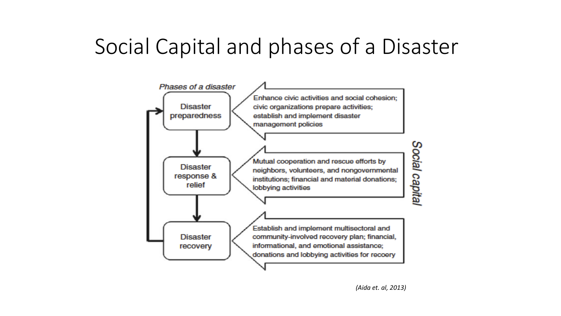#### Social Capital and phases of a Disaster

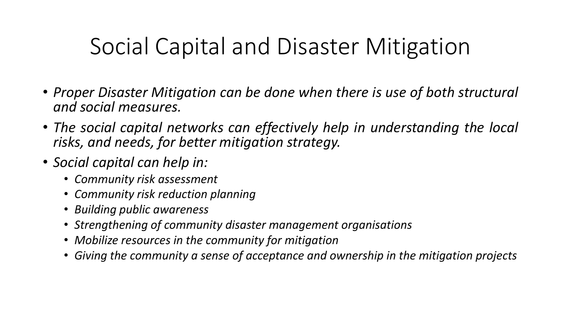### Social Capital and Disaster Mitigation

- *Proper Disaster Mitigation can be done when there is use of both structural and social measures.*
- *The social capital networks can effectively help in understanding the local risks, and needs, for better mitigation strategy.*
- *Social capital can help in:*
	- *Community risk assessment*
	- *Community risk reduction planning*
	- *Building public awareness*
	- *Strengthening of community disaster management organisations*
	- *Mobilize resources in the community for mitigation*
	- *Giving the community a sense of acceptance and ownership in the mitigation projects*